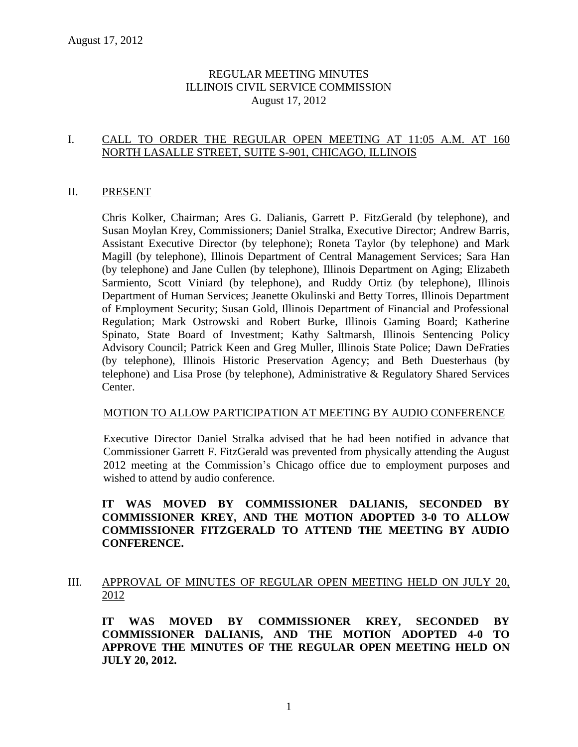# REGULAR MEETING MINUTES ILLINOIS CIVIL SERVICE COMMISSION August 17, 2012

# I. CALL TO ORDER THE REGULAR OPEN MEETING AT 11:05 A.M. AT 160 NORTH LASALLE STREET, SUITE S-901, CHICAGO, ILLINOIS

#### II. PRESENT

Chris Kolker, Chairman; Ares G. Dalianis, Garrett P. FitzGerald (by telephone), and Susan Moylan Krey, Commissioners; Daniel Stralka, Executive Director; Andrew Barris, Assistant Executive Director (by telephone); Roneta Taylor (by telephone) and Mark Magill (by telephone), Illinois Department of Central Management Services; Sara Han (by telephone) and Jane Cullen (by telephone), Illinois Department on Aging; Elizabeth Sarmiento, Scott Viniard (by telephone), and Ruddy Ortiz (by telephone), Illinois Department of Human Services; Jeanette Okulinski and Betty Torres, Illinois Department of Employment Security; Susan Gold, Illinois Department of Financial and Professional Regulation; Mark Ostrowski and Robert Burke, Illinois Gaming Board; Katherine Spinato, State Board of Investment; Kathy Saltmarsh, Illinois Sentencing Policy Advisory Council; Patrick Keen and Greg Muller, Illinois State Police; Dawn DeFraties (by telephone), Illinois Historic Preservation Agency; and Beth Duesterhaus (by telephone) and Lisa Prose (by telephone), Administrative & Regulatory Shared Services Center.

#### MOTION TO ALLOW PARTICIPATION AT MEETING BY AUDIO CONFERENCE

Executive Director Daniel Stralka advised that he had been notified in advance that Commissioner Garrett F. FitzGerald was prevented from physically attending the August 2012 meeting at the Commission's Chicago office due to employment purposes and wished to attend by audio conference.

# **IT WAS MOVED BY COMMISSIONER DALIANIS, SECONDED BY COMMISSIONER KREY, AND THE MOTION ADOPTED 3-0 TO ALLOW COMMISSIONER FITZGERALD TO ATTEND THE MEETING BY AUDIO CONFERENCE.**

# III. APPROVAL OF MINUTES OF REGULAR OPEN MEETING HELD ON JULY 20, 2012

**IT WAS MOVED BY COMMISSIONER KREY, SECONDED BY COMMISSIONER DALIANIS, AND THE MOTION ADOPTED 4-0 TO APPROVE THE MINUTES OF THE REGULAR OPEN MEETING HELD ON JULY 20, 2012.**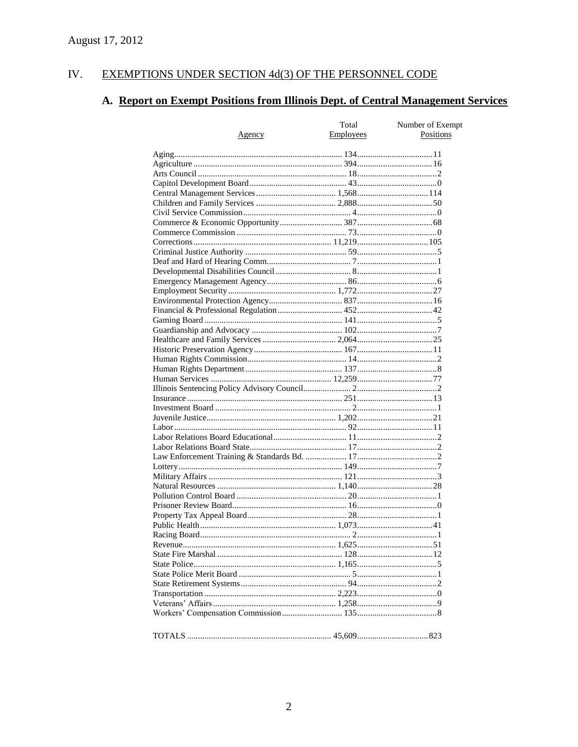#### EXEMPTIONS UNDER SECTION 4d(3) OF THE PERSONNEL CODE IV.

# A. Report on Exempt Positions from Illinois Dept. of Central Management Services

| Total<br>Employees |  | Number of Exempt<br>Positions |
|--------------------|--|-------------------------------|
| Agency             |  |                               |
|                    |  |                               |
|                    |  |                               |
|                    |  |                               |
|                    |  |                               |
|                    |  |                               |
|                    |  |                               |
|                    |  |                               |
|                    |  |                               |
|                    |  |                               |
|                    |  |                               |
|                    |  |                               |
|                    |  |                               |
|                    |  |                               |
|                    |  |                               |
|                    |  |                               |
|                    |  |                               |
|                    |  |                               |
|                    |  |                               |
|                    |  |                               |
|                    |  |                               |
|                    |  |                               |
|                    |  |                               |
|                    |  |                               |
|                    |  |                               |
|                    |  |                               |
|                    |  |                               |
|                    |  |                               |
|                    |  |                               |
|                    |  |                               |
|                    |  |                               |
|                    |  |                               |
|                    |  |                               |
|                    |  |                               |
|                    |  |                               |
|                    |  |                               |
|                    |  |                               |
|                    |  |                               |
|                    |  |                               |
|                    |  |                               |
|                    |  |                               |
|                    |  |                               |
|                    |  |                               |
|                    |  |                               |
|                    |  |                               |
|                    |  |                               |
|                    |  |                               |
|                    |  |                               |
|                    |  |                               |
|                    |  |                               |
|                    |  |                               |
|                    |  |                               |
|                    |  |                               |
|                    |  |                               |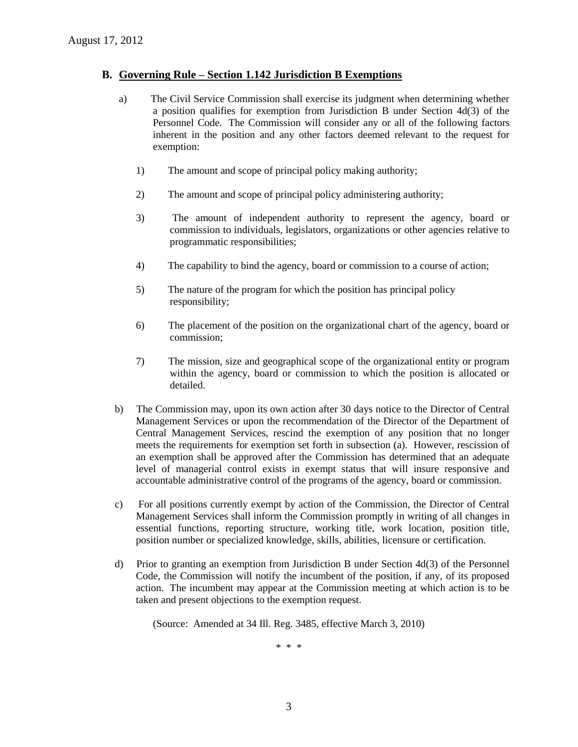#### **B. Governing Rule – Section 1.142 Jurisdiction B Exemptions**

- a) The Civil Service Commission shall exercise its judgment when determining whether a position qualifies for exemption from Jurisdiction B under Section 4d(3) of the Personnel Code. The Commission will consider any or all of the following factors inherent in the position and any other factors deemed relevant to the request for exemption:
	- 1) The amount and scope of principal policy making authority;
	- 2) The amount and scope of principal policy administering authority;
	- 3) The amount of independent authority to represent the agency, board or commission to individuals, legislators, organizations or other agencies relative to programmatic responsibilities;
	- 4) The capability to bind the agency, board or commission to a course of action;
	- 5) The nature of the program for which the position has principal policy responsibility;
	- 6) The placement of the position on the organizational chart of the agency, board or commission;
	- 7) The mission, size and geographical scope of the organizational entity or program within the agency, board or commission to which the position is allocated or detailed.
- b) The Commission may, upon its own action after 30 days notice to the Director of Central Management Services or upon the recommendation of the Director of the Department of Central Management Services, rescind the exemption of any position that no longer meets the requirements for exemption set forth in subsection (a). However, rescission of an exemption shall be approved after the Commission has determined that an adequate level of managerial control exists in exempt status that will insure responsive and accountable administrative control of the programs of the agency, board or commission.
- c) For all positions currently exempt by action of the Commission, the Director of Central Management Services shall inform the Commission promptly in writing of all changes in essential functions, reporting structure, working title, work location, position title, position number or specialized knowledge, skills, abilities, licensure or certification.
- d) Prior to granting an exemption from Jurisdiction B under Section 4d(3) of the Personnel Code, the Commission will notify the incumbent of the position, if any, of its proposed action. The incumbent may appear at the Commission meeting at which action is to be taken and present objections to the exemption request.

(Source: Amended at 34 Ill. Reg. 3485, effective March 3, 2010)

\* \* \*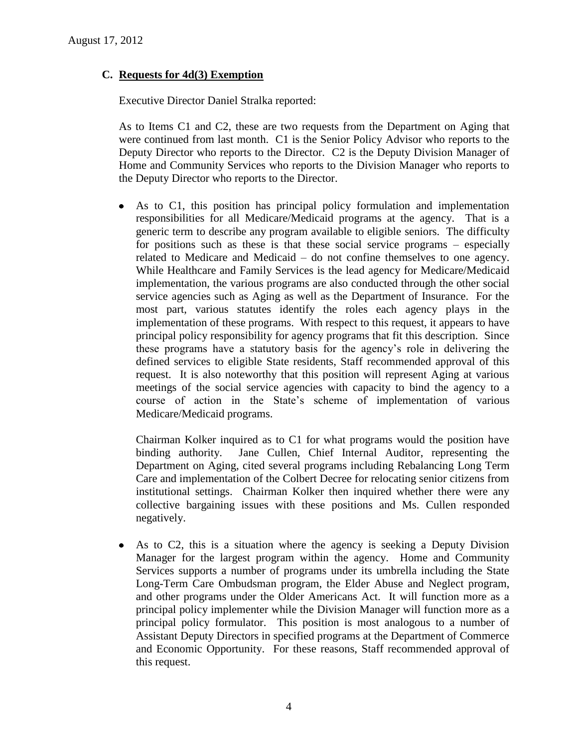# **C. Requests for 4d(3) Exemption**

Executive Director Daniel Stralka reported:

As to Items C1 and C2, these are two requests from the Department on Aging that were continued from last month. C1 is the Senior Policy Advisor who reports to the Deputy Director who reports to the Director. C2 is the Deputy Division Manager of Home and Community Services who reports to the Division Manager who reports to the Deputy Director who reports to the Director.

As to C1, this position has principal policy formulation and implementation responsibilities for all Medicare/Medicaid programs at the agency. That is a generic term to describe any program available to eligible seniors. The difficulty for positions such as these is that these social service programs – especially related to Medicare and Medicaid – do not confine themselves to one agency. While Healthcare and Family Services is the lead agency for Medicare/Medicaid implementation, the various programs are also conducted through the other social service agencies such as Aging as well as the Department of Insurance. For the most part, various statutes identify the roles each agency plays in the implementation of these programs. With respect to this request, it appears to have principal policy responsibility for agency programs that fit this description. Since these programs have a statutory basis for the agency's role in delivering the defined services to eligible State residents, Staff recommended approval of this request. It is also noteworthy that this position will represent Aging at various meetings of the social service agencies with capacity to bind the agency to a course of action in the State's scheme of implementation of various Medicare/Medicaid programs.

Chairman Kolker inquired as to C1 for what programs would the position have binding authority. Jane Cullen, Chief Internal Auditor, representing the Department on Aging, cited several programs including Rebalancing Long Term Care and implementation of the Colbert Decree for relocating senior citizens from institutional settings. Chairman Kolker then inquired whether there were any collective bargaining issues with these positions and Ms. Cullen responded negatively.

As to C2, this is a situation where the agency is seeking a Deputy Division  $\bullet$ Manager for the largest program within the agency. Home and Community Services supports a number of programs under its umbrella including the State Long-Term Care Ombudsman program, the Elder Abuse and Neglect program, and other programs under the Older Americans Act. It will function more as a principal policy implementer while the Division Manager will function more as a principal policy formulator. This position is most analogous to a number of Assistant Deputy Directors in specified programs at the Department of Commerce and Economic Opportunity. For these reasons, Staff recommended approval of this request.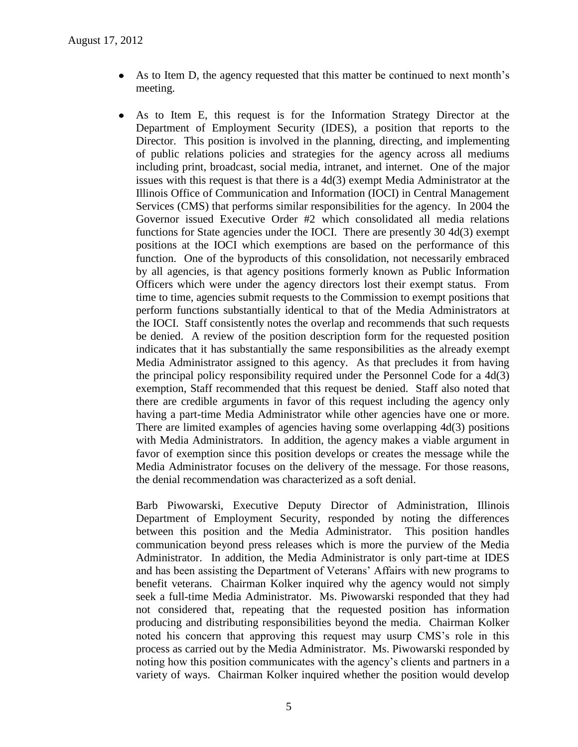- As to Item D, the agency requested that this matter be continued to next month's meeting.
- As to Item E, this request is for the Information Strategy Director at the Department of Employment Security (IDES), a position that reports to the Director. This position is involved in the planning, directing, and implementing of public relations policies and strategies for the agency across all mediums including print, broadcast, social media, intranet, and internet. One of the major issues with this request is that there is a 4d(3) exempt Media Administrator at the Illinois Office of Communication and Information (IOCI) in Central Management Services (CMS) that performs similar responsibilities for the agency. In 2004 the Governor issued Executive Order #2 which consolidated all media relations functions for State agencies under the IOCI. There are presently 30 4d(3) exempt positions at the IOCI which exemptions are based on the performance of this function. One of the byproducts of this consolidation, not necessarily embraced by all agencies, is that agency positions formerly known as Public Information Officers which were under the agency directors lost their exempt status. From time to time, agencies submit requests to the Commission to exempt positions that perform functions substantially identical to that of the Media Administrators at the IOCI. Staff consistently notes the overlap and recommends that such requests be denied. A review of the position description form for the requested position indicates that it has substantially the same responsibilities as the already exempt Media Administrator assigned to this agency. As that precludes it from having the principal policy responsibility required under the Personnel Code for a 4d(3) exemption, Staff recommended that this request be denied. Staff also noted that there are credible arguments in favor of this request including the agency only having a part-time Media Administrator while other agencies have one or more. There are limited examples of agencies having some overlapping 4d(3) positions with Media Administrators. In addition, the agency makes a viable argument in favor of exemption since this position develops or creates the message while the Media Administrator focuses on the delivery of the message. For those reasons, the denial recommendation was characterized as a soft denial.

Barb Piwowarski, Executive Deputy Director of Administration, Illinois Department of Employment Security, responded by noting the differences between this position and the Media Administrator. This position handles communication beyond press releases which is more the purview of the Media Administrator. In addition, the Media Administrator is only part-time at IDES and has been assisting the Department of Veterans' Affairs with new programs to benefit veterans. Chairman Kolker inquired why the agency would not simply seek a full-time Media Administrator. Ms. Piwowarski responded that they had not considered that, repeating that the requested position has information producing and distributing responsibilities beyond the media. Chairman Kolker noted his concern that approving this request may usurp CMS's role in this process as carried out by the Media Administrator. Ms. Piwowarski responded by noting how this position communicates with the agency's clients and partners in a variety of ways. Chairman Kolker inquired whether the position would develop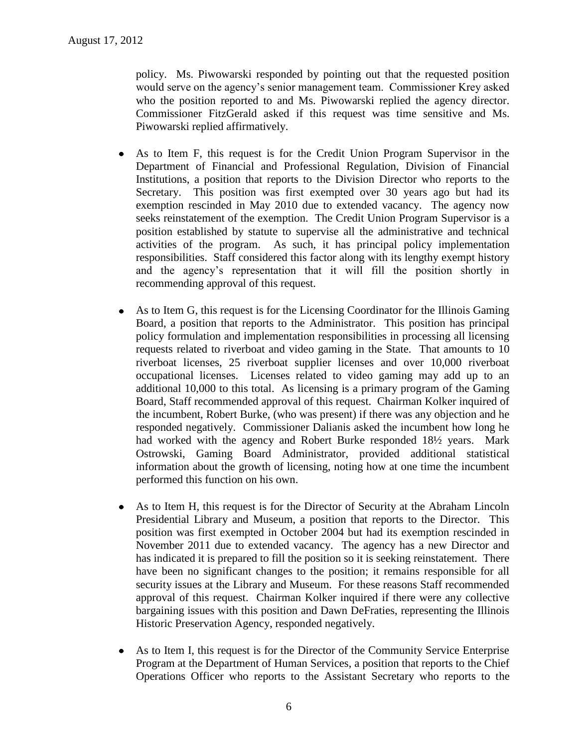policy. Ms. Piwowarski responded by pointing out that the requested position would serve on the agency's senior management team. Commissioner Krey asked who the position reported to and Ms. Piwowarski replied the agency director. Commissioner FitzGerald asked if this request was time sensitive and Ms. Piwowarski replied affirmatively.

- As to Item F, this request is for the Credit Union Program Supervisor in the Department of Financial and Professional Regulation, Division of Financial Institutions, a position that reports to the Division Director who reports to the Secretary. This position was first exempted over 30 years ago but had its exemption rescinded in May 2010 due to extended vacancy. The agency now seeks reinstatement of the exemption. The Credit Union Program Supervisor is a position established by statute to supervise all the administrative and technical activities of the program. As such, it has principal policy implementation responsibilities. Staff considered this factor along with its lengthy exempt history and the agency's representation that it will fill the position shortly in recommending approval of this request.
- As to Item G, this request is for the Licensing Coordinator for the Illinois Gaming  $\bullet$ Board, a position that reports to the Administrator. This position has principal policy formulation and implementation responsibilities in processing all licensing requests related to riverboat and video gaming in the State. That amounts to 10 riverboat licenses, 25 riverboat supplier licenses and over 10,000 riverboat occupational licenses. Licenses related to video gaming may add up to an additional 10,000 to this total. As licensing is a primary program of the Gaming Board, Staff recommended approval of this request. Chairman Kolker inquired of the incumbent, Robert Burke, (who was present) if there was any objection and he responded negatively. Commissioner Dalianis asked the incumbent how long he had worked with the agency and Robert Burke responded 18½ years. Mark Ostrowski, Gaming Board Administrator, provided additional statistical information about the growth of licensing, noting how at one time the incumbent performed this function on his own.
- $\bullet$ As to Item H, this request is for the Director of Security at the Abraham Lincoln Presidential Library and Museum, a position that reports to the Director. This position was first exempted in October 2004 but had its exemption rescinded in November 2011 due to extended vacancy. The agency has a new Director and has indicated it is prepared to fill the position so it is seeking reinstatement. There have been no significant changes to the position; it remains responsible for all security issues at the Library and Museum. For these reasons Staff recommended approval of this request. Chairman Kolker inquired if there were any collective bargaining issues with this position and Dawn DeFraties, representing the Illinois Historic Preservation Agency, responded negatively.
- As to Item I, this request is for the Director of the Community Service Enterprise  $\bullet$ Program at the Department of Human Services, a position that reports to the Chief Operations Officer who reports to the Assistant Secretary who reports to the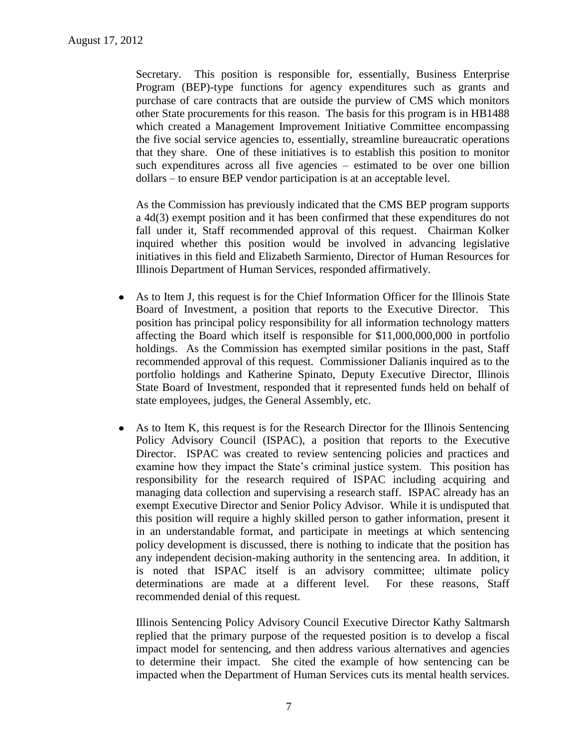Secretary. This position is responsible for, essentially, Business Enterprise Program (BEP)-type functions for agency expenditures such as grants and purchase of care contracts that are outside the purview of CMS which monitors other State procurements for this reason. The basis for this program is in HB1488 which created a Management Improvement Initiative Committee encompassing the five social service agencies to, essentially, streamline bureaucratic operations that they share. One of these initiatives is to establish this position to monitor such expenditures across all five agencies – estimated to be over one billion dollars – to ensure BEP vendor participation is at an acceptable level.

As the Commission has previously indicated that the CMS BEP program supports a 4d(3) exempt position and it has been confirmed that these expenditures do not fall under it, Staff recommended approval of this request. Chairman Kolker inquired whether this position would be involved in advancing legislative initiatives in this field and Elizabeth Sarmiento, Director of Human Resources for Illinois Department of Human Services, responded affirmatively.

- As to Item J, this request is for the Chief Information Officer for the Illinois State  $\bullet$ Board of Investment, a position that reports to the Executive Director. This position has principal policy responsibility for all information technology matters affecting the Board which itself is responsible for \$11,000,000,000 in portfolio holdings. As the Commission has exempted similar positions in the past, Staff recommended approval of this request. Commissioner Dalianis inquired as to the portfolio holdings and Katherine Spinato, Deputy Executive Director, Illinois State Board of Investment, responded that it represented funds held on behalf of state employees, judges, the General Assembly, etc.
- As to Item K, this request is for the Research Director for the Illinois Sentencing  $\bullet$ Policy Advisory Council (ISPAC), a position that reports to the Executive Director. ISPAC was created to review sentencing policies and practices and examine how they impact the State's criminal justice system. This position has responsibility for the research required of ISPAC including acquiring and managing data collection and supervising a research staff. ISPAC already has an exempt Executive Director and Senior Policy Advisor. While it is undisputed that this position will require a highly skilled person to gather information, present it in an understandable format, and participate in meetings at which sentencing policy development is discussed, there is nothing to indicate that the position has any independent decision-making authority in the sentencing area. In addition, it is noted that ISPAC itself is an advisory committee; ultimate policy determinations are made at a different level. For these reasons, Staff recommended denial of this request.

Illinois Sentencing Policy Advisory Council Executive Director Kathy Saltmarsh replied that the primary purpose of the requested position is to develop a fiscal impact model for sentencing, and then address various alternatives and agencies to determine their impact. She cited the example of how sentencing can be impacted when the Department of Human Services cuts its mental health services.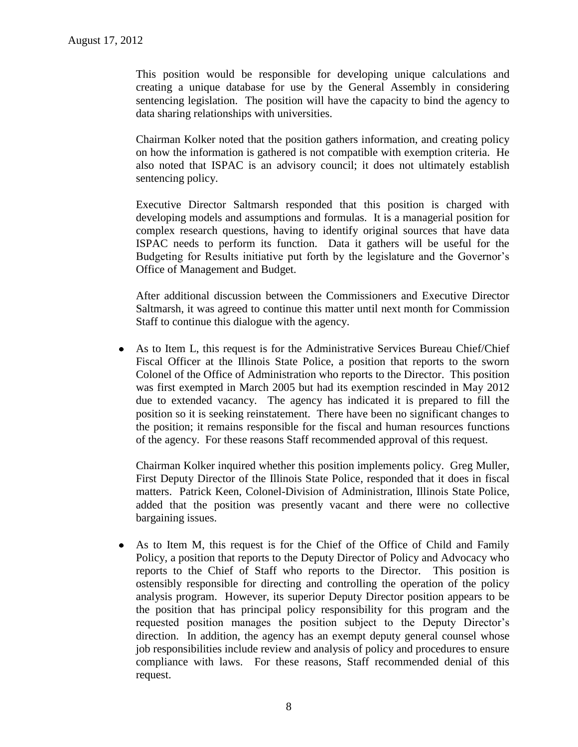This position would be responsible for developing unique calculations and creating a unique database for use by the General Assembly in considering sentencing legislation. The position will have the capacity to bind the agency to data sharing relationships with universities.

Chairman Kolker noted that the position gathers information, and creating policy on how the information is gathered is not compatible with exemption criteria. He also noted that ISPAC is an advisory council; it does not ultimately establish sentencing policy.

Executive Director Saltmarsh responded that this position is charged with developing models and assumptions and formulas. It is a managerial position for complex research questions, having to identify original sources that have data ISPAC needs to perform its function. Data it gathers will be useful for the Budgeting for Results initiative put forth by the legislature and the Governor's Office of Management and Budget.

After additional discussion between the Commissioners and Executive Director Saltmarsh, it was agreed to continue this matter until next month for Commission Staff to continue this dialogue with the agency.

As to Item L, this request is for the Administrative Services Bureau Chief/Chief Fiscal Officer at the Illinois State Police, a position that reports to the sworn Colonel of the Office of Administration who reports to the Director. This position was first exempted in March 2005 but had its exemption rescinded in May 2012 due to extended vacancy. The agency has indicated it is prepared to fill the position so it is seeking reinstatement. There have been no significant changes to the position; it remains responsible for the fiscal and human resources functions of the agency. For these reasons Staff recommended approval of this request.

Chairman Kolker inquired whether this position implements policy. Greg Muller, First Deputy Director of the Illinois State Police, responded that it does in fiscal matters. Patrick Keen, Colonel-Division of Administration, Illinois State Police, added that the position was presently vacant and there were no collective bargaining issues.

As to Item M, this request is for the Chief of the Office of Child and Family  $\bullet$ Policy, a position that reports to the Deputy Director of Policy and Advocacy who reports to the Chief of Staff who reports to the Director. This position is ostensibly responsible for directing and controlling the operation of the policy analysis program. However, its superior Deputy Director position appears to be the position that has principal policy responsibility for this program and the requested position manages the position subject to the Deputy Director's direction. In addition, the agency has an exempt deputy general counsel whose job responsibilities include review and analysis of policy and procedures to ensure compliance with laws. For these reasons, Staff recommended denial of this request.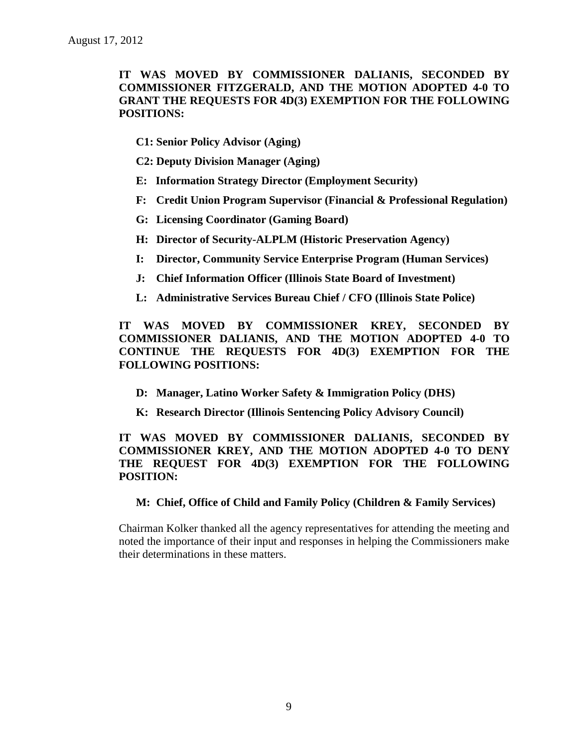# **IT WAS MOVED BY COMMISSIONER DALIANIS, SECONDED BY COMMISSIONER FITZGERALD, AND THE MOTION ADOPTED 4-0 TO GRANT THE REQUESTS FOR 4D(3) EXEMPTION FOR THE FOLLOWING POSITIONS:**

- **C1: Senior Policy Advisor (Aging)**
- **C2: Deputy Division Manager (Aging)**
- **E: Information Strategy Director (Employment Security)**
- **F: Credit Union Program Supervisor (Financial & Professional Regulation)**
- **G: Licensing Coordinator (Gaming Board)**
- **H: Director of Security-ALPLM (Historic Preservation Agency)**
- **I: Director, Community Service Enterprise Program (Human Services)**
- **J: Chief Information Officer (Illinois State Board of Investment)**
- **L: Administrative Services Bureau Chief / CFO (Illinois State Police)**

**IT WAS MOVED BY COMMISSIONER KREY, SECONDED BY COMMISSIONER DALIANIS, AND THE MOTION ADOPTED 4-0 TO CONTINUE THE REQUESTS FOR 4D(3) EXEMPTION FOR THE FOLLOWING POSITIONS:**

- **D: Manager, Latino Worker Safety & Immigration Policy (DHS)**
- **K: Research Director (Illinois Sentencing Policy Advisory Council)**

# **IT WAS MOVED BY COMMISSIONER DALIANIS, SECONDED BY COMMISSIONER KREY, AND THE MOTION ADOPTED 4-0 TO DENY THE REQUEST FOR 4D(3) EXEMPTION FOR THE FOLLOWING POSITION:**

### **M: Chief, Office of Child and Family Policy (Children & Family Services)**

Chairman Kolker thanked all the agency representatives for attending the meeting and noted the importance of their input and responses in helping the Commissioners make their determinations in these matters.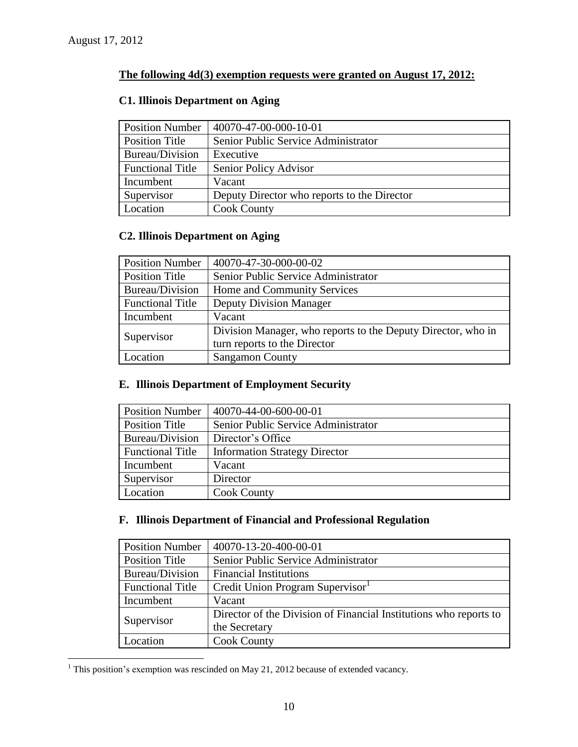$\overline{a}$ 

# **The following 4d(3) exemption requests were granted on August 17, 2012:**

# **C1. Illinois Department on Aging**

| <b>Position Number</b>  | 40070-47-00-000-10-01                       |
|-------------------------|---------------------------------------------|
| <b>Position Title</b>   | Senior Public Service Administrator         |
| Bureau/Division         | Executive                                   |
| <b>Functional Title</b> | Senior Policy Advisor                       |
| Incumbent               | Vacant                                      |
| Supervisor              | Deputy Director who reports to the Director |
| Location                | <b>Cook County</b>                          |

# **C2. Illinois Department on Aging**

| <b>Position Number</b>  | 40070-47-30-000-00-02                                        |
|-------------------------|--------------------------------------------------------------|
| <b>Position Title</b>   | Senior Public Service Administrator                          |
| Bureau/Division         | Home and Community Services                                  |
| <b>Functional Title</b> | <b>Deputy Division Manager</b>                               |
| Incumbent               | Vacant                                                       |
| Supervisor              | Division Manager, who reports to the Deputy Director, who in |
|                         | turn reports to the Director                                 |
| Location                | <b>Sangamon County</b>                                       |

# **E. Illinois Department of Employment Security**

| <b>Position Number</b>  | 40070-44-00-600-00-01                |
|-------------------------|--------------------------------------|
| <b>Position Title</b>   | Senior Public Service Administrator  |
| Bureau/Division         | Director's Office                    |
| <b>Functional Title</b> | <b>Information Strategy Director</b> |
| Incumbent               | Vacant                               |
| Supervisor              | Director                             |
| Location                | <b>Cook County</b>                   |

# **F. Illinois Department of Financial and Professional Regulation**

| <b>Position Number</b>  | 40070-13-20-400-00-01                                             |
|-------------------------|-------------------------------------------------------------------|
| <b>Position Title</b>   | Senior Public Service Administrator                               |
| Bureau/Division         | <b>Financial Institutions</b>                                     |
| <b>Functional Title</b> | Credit Union Program Supervisor                                   |
| Incumbent               | Vacant                                                            |
| Supervisor              | Director of the Division of Financial Institutions who reports to |
|                         | the Secretary                                                     |
| Location                | <b>Cook County</b>                                                |

 $1$  This position's exemption was rescinded on May 21, 2012 because of extended vacancy.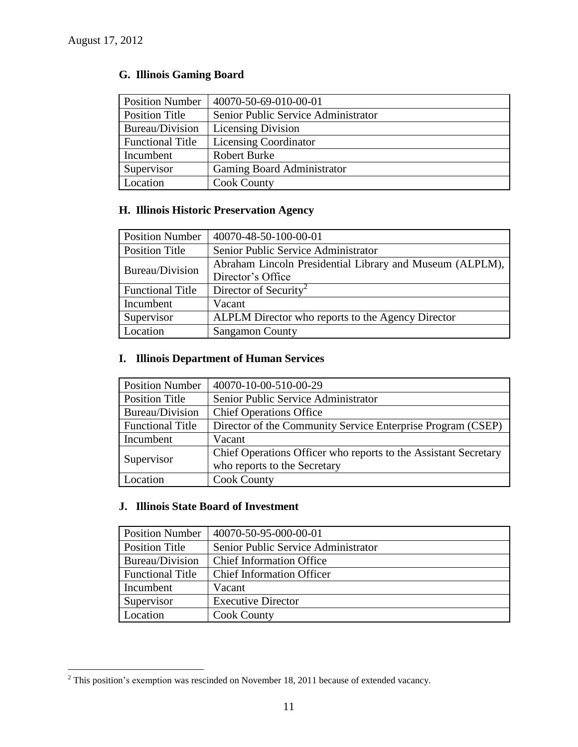$\overline{a}$ 

# **G. Illinois Gaming Board**

| <b>Position Number</b>  | 40070-50-69-010-00-01               |
|-------------------------|-------------------------------------|
| <b>Position Title</b>   | Senior Public Service Administrator |
| Bureau/Division         | <b>Licensing Division</b>           |
| <b>Functional Title</b> | <b>Licensing Coordinator</b>        |
| Incumbent               | <b>Robert Burke</b>                 |
| Supervisor              | Gaming Board Administrator          |
| Location                | <b>Cook County</b>                  |

# **H. Illinois Historic Preservation Agency**

| <b>Position Number</b>  | 40070-48-50-100-00-01                                    |
|-------------------------|----------------------------------------------------------|
| <b>Position Title</b>   | Senior Public Service Administrator                      |
| Bureau/Division         | Abraham Lincoln Presidential Library and Museum (ALPLM), |
|                         | Director's Office                                        |
| <b>Functional Title</b> | Director of Security <sup>2</sup>                        |
| Incumbent               | Vacant                                                   |
| Supervisor              | ALPLM Director who reports to the Agency Director        |
| Location                | <b>Sangamon County</b>                                   |

# **I. Illinois Department of Human Services**

| <b>Position Number</b>  | 40070-10-00-510-00-29                                           |
|-------------------------|-----------------------------------------------------------------|
| <b>Position Title</b>   | Senior Public Service Administrator                             |
| Bureau/Division         | <b>Chief Operations Office</b>                                  |
| <b>Functional Title</b> | Director of the Community Service Enterprise Program (CSEP)     |
| Incumbent               | Vacant                                                          |
| Supervisor              | Chief Operations Officer who reports to the Assistant Secretary |
|                         | who reports to the Secretary                                    |
| Location                | <b>Cook County</b>                                              |

# **J. Illinois State Board of Investment**

| <b>Position Number</b>  | 40070-50-95-000-00-01               |
|-------------------------|-------------------------------------|
| Position Title          | Senior Public Service Administrator |
| Bureau/Division         | <b>Chief Information Office</b>     |
| <b>Functional Title</b> | <b>Chief Information Officer</b>    |
| Incumbent               | Vacant                              |
| Supervisor              | <b>Executive Director</b>           |
| Location                | <b>Cook County</b>                  |

 $2$  This position's exemption was rescinded on November 18, 2011 because of extended vacancy.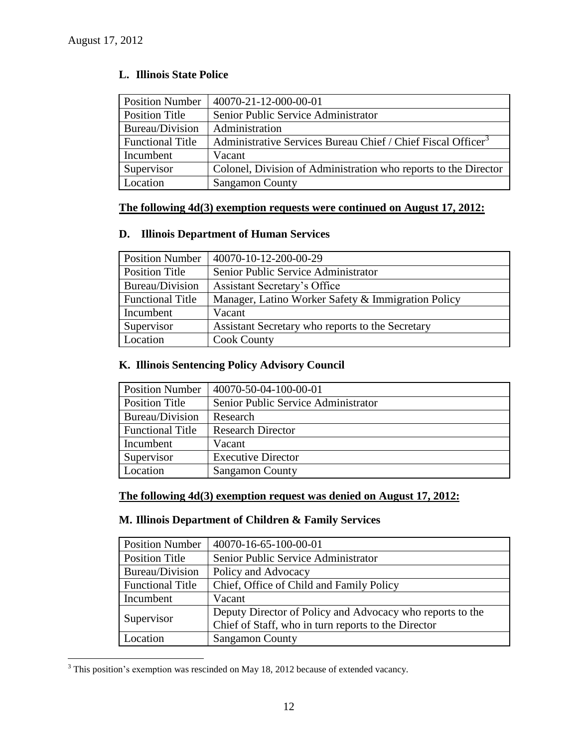$\overline{a}$ 

| <b>Position Number</b>  | 40070-21-12-000-00-01                                                    |
|-------------------------|--------------------------------------------------------------------------|
| <b>Position Title</b>   | Senior Public Service Administrator                                      |
| Bureau/Division         | Administration                                                           |
| <b>Functional Title</b> | Administrative Services Bureau Chief / Chief Fiscal Officer <sup>3</sup> |
| Incumbent               | Vacant                                                                   |
| Supervisor              | Colonel, Division of Administration who reports to the Director          |
| Location                | <b>Sangamon County</b>                                                   |

# **L. Illinois State Police**

# **The following 4d(3) exemption requests were continued on August 17, 2012:**

### **D. Illinois Department of Human Services**

| <b>Position Number</b>  | 40070-10-12-200-00-29                              |
|-------------------------|----------------------------------------------------|
| <b>Position Title</b>   | Senior Public Service Administrator                |
| Bureau/Division         | Assistant Secretary's Office                       |
| <b>Functional Title</b> | Manager, Latino Worker Safety & Immigration Policy |
| Incumbent               | Vacant                                             |
| Supervisor              | Assistant Secretary who reports to the Secretary   |
| Location                | <b>Cook County</b>                                 |

# **K. Illinois Sentencing Policy Advisory Council**

| <b>Position Number</b>  | 40070-50-04-100-00-01               |
|-------------------------|-------------------------------------|
| <b>Position Title</b>   | Senior Public Service Administrator |
| Bureau/Division         | Research                            |
| <b>Functional Title</b> | <b>Research Director</b>            |
| Incumbent               | Vacant                              |
| Supervisor              | <b>Executive Director</b>           |
| Location                | <b>Sangamon County</b>              |

# **The following 4d(3) exemption request was denied on August 17, 2012:**

# **M. Illinois Department of Children & Family Services**

| <b>Position Number</b>  | 40070-16-65-100-00-01                                                                                            |
|-------------------------|------------------------------------------------------------------------------------------------------------------|
| <b>Position Title</b>   | Senior Public Service Administrator                                                                              |
| Bureau/Division         | Policy and Advocacy                                                                                              |
| <b>Functional Title</b> | Chief, Office of Child and Family Policy                                                                         |
| Incumbent               | Vacant                                                                                                           |
| Supervisor              | Deputy Director of Policy and Advocacy who reports to the<br>Chief of Staff, who in turn reports to the Director |
| Location                | <b>Sangamon County</b>                                                                                           |

 $3$  This position's exemption was rescinded on May 18, 2012 because of extended vacancy.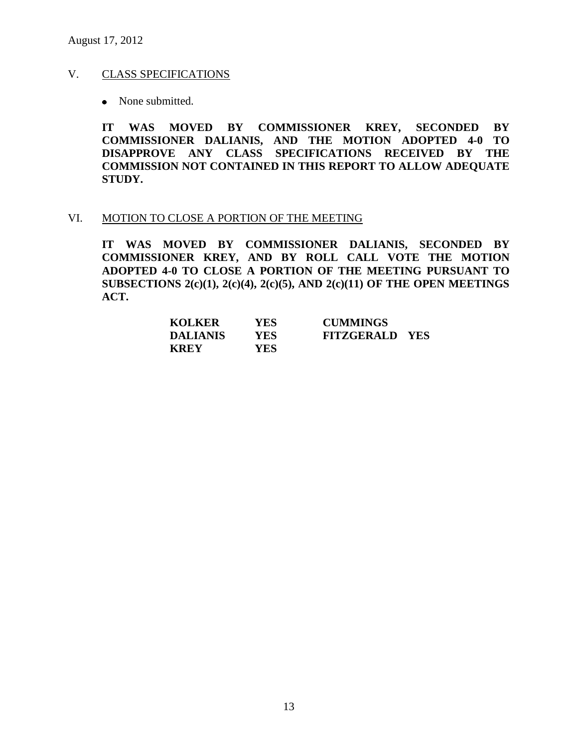# V. CLASS SPECIFICATIONS

• None submitted.

**IT WAS MOVED BY COMMISSIONER KREY, SECONDED BY COMMISSIONER DALIANIS, AND THE MOTION ADOPTED 4-0 TO DISAPPROVE ANY CLASS SPECIFICATIONS RECEIVED BY THE COMMISSION NOT CONTAINED IN THIS REPORT TO ALLOW ADEQUATE STUDY.** 

#### VI. MOTION TO CLOSE A PORTION OF THE MEETING

**IT WAS MOVED BY COMMISSIONER DALIANIS, SECONDED BY COMMISSIONER KREY, AND BY ROLL CALL VOTE THE MOTION ADOPTED 4-0 TO CLOSE A PORTION OF THE MEETING PURSUANT TO SUBSECTIONS 2(c)(1), 2(c)(4), 2(c)(5), AND 2(c)(11) OF THE OPEN MEETINGS ACT.**

| <b>KOLKER</b>   | <b>YES</b> | <b>CUMMINGS</b>       |  |
|-----------------|------------|-----------------------|--|
| <b>DALIANIS</b> | YES.       | <b>FITZGERALD YES</b> |  |
| <b>KREY</b>     | YES.       |                       |  |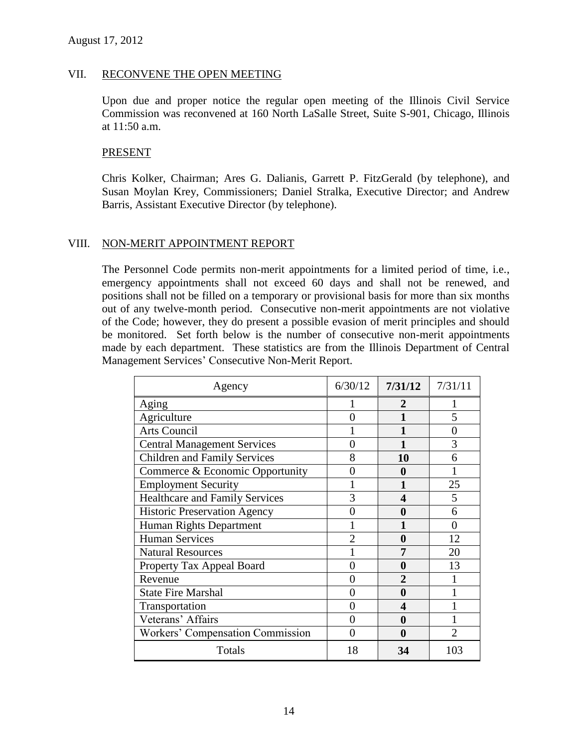#### VII. RECONVENE THE OPEN MEETING

Upon due and proper notice the regular open meeting of the Illinois Civil Service Commission was reconvened at 160 North LaSalle Street, Suite S-901, Chicago, Illinois at 11:50 a.m.

#### PRESENT

Chris Kolker, Chairman; Ares G. Dalianis, Garrett P. FitzGerald (by telephone), and Susan Moylan Krey, Commissioners; Daniel Stralka, Executive Director; and Andrew Barris, Assistant Executive Director (by telephone).

### VIII. NON-MERIT APPOINTMENT REPORT

The Personnel Code permits non-merit appointments for a limited period of time, i.e., emergency appointments shall not exceed 60 days and shall not be renewed, and positions shall not be filled on a temporary or provisional basis for more than six months out of any twelve-month period. Consecutive non-merit appointments are not violative of the Code; however, they do present a possible evasion of merit principles and should be monitored. Set forth below is the number of consecutive non-merit appointments made by each department. These statistics are from the Illinois Department of Central Management Services' Consecutive Non-Merit Report.

| Agency                                | 6/30/12 | 7/31/12 | 7/31/11        |
|---------------------------------------|---------|---------|----------------|
| Aging                                 |         | 2       |                |
| Agriculture                           |         |         | 5              |
| <b>Arts Council</b>                   |         |         | 0              |
| <b>Central Management Services</b>    | 0       |         | 3              |
| <b>Children and Family Services</b>   | 8       | 10      | 6              |
| Commerce & Economic Opportunity       | 0       | A       |                |
| <b>Employment Security</b>            |         |         | 25             |
| <b>Healthcare and Family Services</b> | 3       | 4       | 5              |
| <b>Historic Preservation Agency</b>   |         | 0       | 6              |
| Human Rights Department               |         |         |                |
| <b>Human Services</b>                 | າ       | 0       | 12             |
| <b>Natural Resources</b>              |         | 7       | 20             |
| Property Tax Appeal Board             | 0       | 0       | 13             |
| Revenue                               |         | 2       |                |
| <b>State Fire Marshal</b>             | 0       | 0       |                |
| Transportation                        | 0       | 4       |                |
| Veterans' Affairs                     | 0       | 0       |                |
| Workers' Compensation Commission      | 0       | 0       | $\mathfrak{D}$ |
| Totals                                | 18      | 34      | 103            |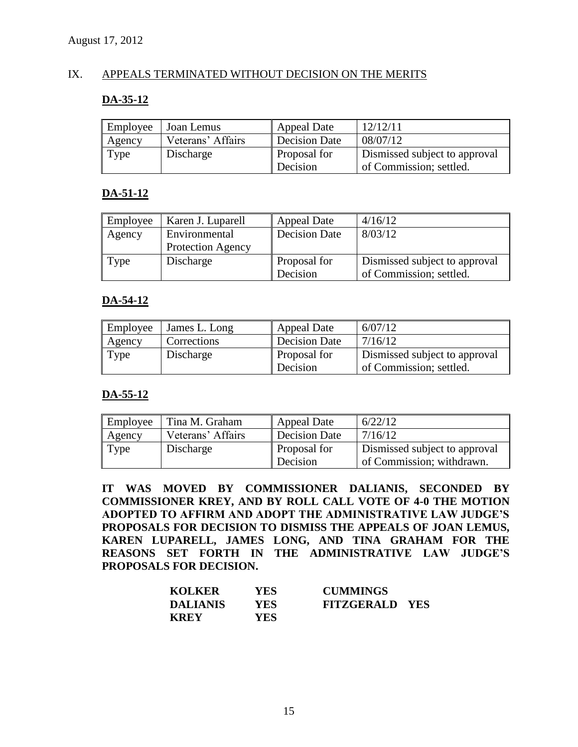### IX. APPEALS TERMINATED WITHOUT DECISION ON THE MERITS

# **DA-35-12**

| Employee | Joan Lemus        | <b>Appeal Date</b>   | 12/12/11                      |
|----------|-------------------|----------------------|-------------------------------|
| Agency   | Veterans' Affairs | <b>Decision Date</b> | 08/07/12                      |
| Type     | Discharge         | Proposal for         | Dismissed subject to approval |
|          |                   | Decision             | of Commission; settled.       |

# **DA-51-12**

| Employee | Karen J. Luparell        | <b>Appeal Date</b>   | 4/16/12                       |
|----------|--------------------------|----------------------|-------------------------------|
| Agency   | Environmental            | <b>Decision Date</b> | 8/03/12                       |
|          | <b>Protection Agency</b> |                      |                               |
| Type     | Discharge                | Proposal for         | Dismissed subject to approval |
|          |                          | Decision             | of Commission; settled.       |

# **DA-54-12**

| Employee | James L. Long | <b>Appeal Date</b>   | 6/07/12                       |
|----------|---------------|----------------------|-------------------------------|
| Agency   | Corrections   | <b>Decision Date</b> | 7/16/12                       |
| Type     | Discharge     | Proposal for         | Dismissed subject to approval |
|          |               | Decision             | of Commission; settled.       |

# **DA-55-12**

| Employee | Tina M. Graham    | <b>Appeal Date</b>       | 6/22/12                                                    |
|----------|-------------------|--------------------------|------------------------------------------------------------|
| Agency   | Veterans' Affairs | <b>Decision Date</b>     | 7/16/12                                                    |
| Type     | Discharge         | Proposal for<br>Decision | Dismissed subject to approval<br>of Commission; withdrawn. |

**IT WAS MOVED BY COMMISSIONER DALIANIS, SECONDED BY COMMISSIONER KREY, AND BY ROLL CALL VOTE OF 4-0 THE MOTION ADOPTED TO AFFIRM AND ADOPT THE ADMINISTRATIVE LAW JUDGE'S PROPOSALS FOR DECISION TO DISMISS THE APPEALS OF JOAN LEMUS, KAREN LUPARELL, JAMES LONG, AND TINA GRAHAM FOR THE REASONS SET FORTH IN THE ADMINISTRATIVE LAW JUDGE'S PROPOSALS FOR DECISION.**

| <b>KOLKER</b>   | YES. | <b>CUMMINGS</b>       |  |
|-----------------|------|-----------------------|--|
| <b>DALIANIS</b> | YES. | <b>FITZGERALD YES</b> |  |
| <b>KREY</b>     | YES. |                       |  |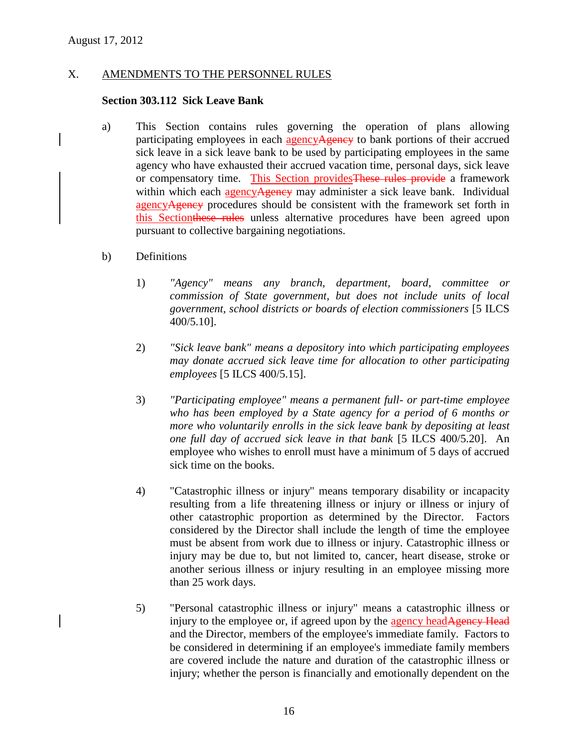# X. AMENDMENTS TO THE PERSONNEL RULES

#### **Section 303.112 Sick Leave Bank**

- a) This Section contains rules governing the operation of plans allowing participating employees in each agency Agency to bank portions of their accrued sick leave in a sick leave bank to be used by participating employees in the same agency who have exhausted their accrued vacation time, personal days, sick leave or compensatory time. This Section providesThese rules provide a framework within which each agency Agency may administer a sick leave bank. Individual agencyAgency procedures should be consistent with the framework set forth in this Sectionthese rules unless alternative procedures have been agreed upon pursuant to collective bargaining negotiations.
- b) Definitions
	- 1) *"Agency" means any branch, department, board, committee or commission of State government, but does not include units of local government, school districts or boards of election commissioners* [5 ILCS 400/5.10].
	- 2) *"Sick leave bank" means a depository into which participating employees may donate accrued sick leave time for allocation to other participating employees* [5 ILCS 400/5.15].
	- 3) *"Participating employee" means a permanent full- or part-time employee who has been employed by a State agency for a period of 6 months or more who voluntarily enrolls in the sick leave bank by depositing at least one full day of accrued sick leave in that bank* [5 ILCS 400/5.20]. An employee who wishes to enroll must have a minimum of 5 days of accrued sick time on the books.
	- 4) "Catastrophic illness or injury" means temporary disability or incapacity resulting from a life threatening illness or injury or illness or injury of other catastrophic proportion as determined by the Director. Factors considered by the Director shall include the length of time the employee must be absent from work due to illness or injury. Catastrophic illness or injury may be due to, but not limited to, cancer, heart disease, stroke or another serious illness or injury resulting in an employee missing more than 25 work days.
	- 5) "Personal catastrophic illness or injury" means a catastrophic illness or injury to the employee or, if agreed upon by the agency headAgency Head and the Director, members of the employee's immediate family. Factors to be considered in determining if an employee's immediate family members are covered include the nature and duration of the catastrophic illness or injury; whether the person is financially and emotionally dependent on the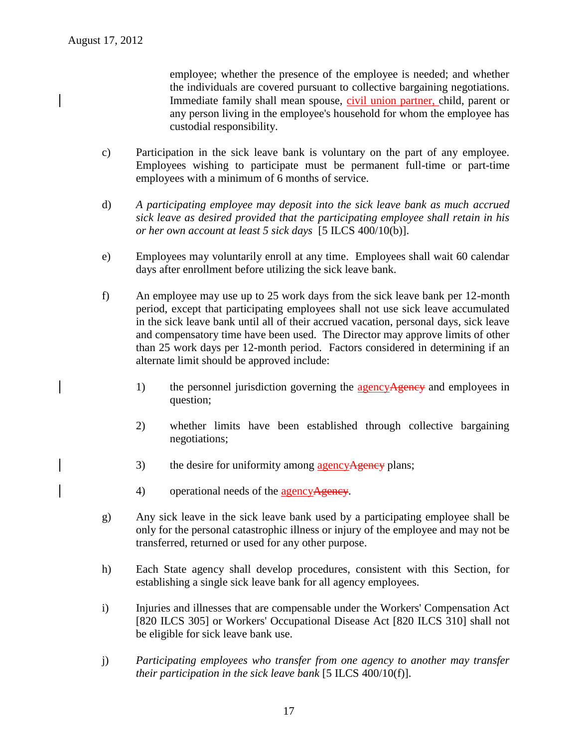employee; whether the presence of the employee is needed; and whether the individuals are covered pursuant to collective bargaining negotiations. Immediate family shall mean spouse, civil union partner, child, parent or any person living in the employee's household for whom the employee has custodial responsibility.

- c) Participation in the sick leave bank is voluntary on the part of any employee. Employees wishing to participate must be permanent full-time or part-time employees with a minimum of 6 months of service.
- d) *A participating employee may deposit into the sick leave bank as much accrued sick leave as desired provided that the participating employee shall retain in his or her own account at least 5 sick days* [5 ILCS 400/10(b)].
- e) Employees may voluntarily enroll at any time. Employees shall wait 60 calendar days after enrollment before utilizing the sick leave bank.
- f) An employee may use up to 25 work days from the sick leave bank per 12-month period, except that participating employees shall not use sick leave accumulated in the sick leave bank until all of their accrued vacation, personal days, sick leave and compensatory time have been used. The Director may approve limits of other than 25 work days per 12-month period. Factors considered in determining if an alternate limit should be approved include:
	- 1) the personnel jurisdiction governing the **agencyAgency** and employees in question;
	- 2) whether limits have been established through collective bargaining negotiations;
	- 3) the desire for uniformity among agency Agency plans;
	- 4) operational needs of the agency Agency.
- g) Any sick leave in the sick leave bank used by a participating employee shall be only for the personal catastrophic illness or injury of the employee and may not be transferred, returned or used for any other purpose.
- h) Each State agency shall develop procedures, consistent with this Section, for establishing a single sick leave bank for all agency employees.
- i) Injuries and illnesses that are compensable under the Workers' Compensation Act [820 ILCS 305] or Workers' Occupational Disease Act [820 ILCS 310] shall not be eligible for sick leave bank use.
- j) *Participating employees who transfer from one agency to another may transfer their participation in the sick leave bank* [5 ILCS 400/10(f)].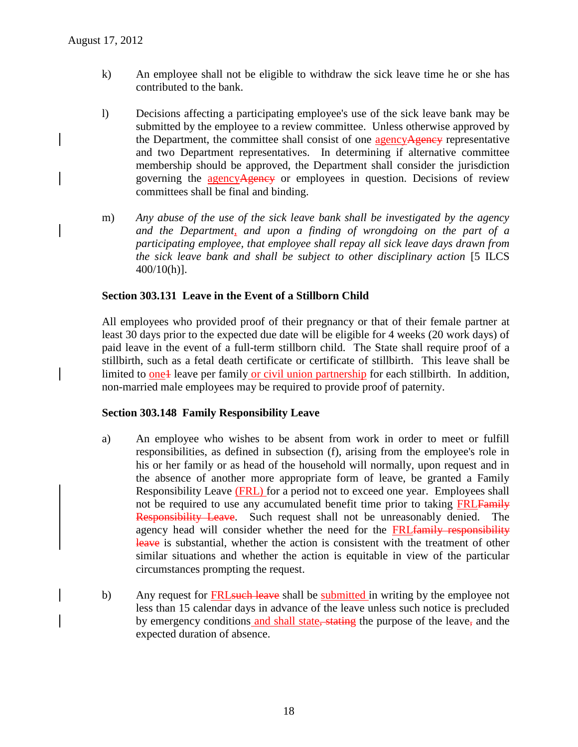- k) An employee shall not be eligible to withdraw the sick leave time he or she has contributed to the bank.
- l) Decisions affecting a participating employee's use of the sick leave bank may be submitted by the employee to a review committee. Unless otherwise approved by the Department, the committee shall consist of one agencyAgency representative and two Department representatives. In determining if alternative committee membership should be approved, the Department shall consider the jurisdiction governing the agency Agency or employees in question. Decisions of review committees shall be final and binding.
- m) *Any abuse of the use of the sick leave bank shall be investigated by the agency and the Department, and upon a finding of wrongdoing on the part of a participating employee, that employee shall repay all sick leave days drawn from the sick leave bank and shall be subject to other disciplinary action* [5 ILCS 400/10(h)].

### **Section 303.131 Leave in the Event of a Stillborn Child**

All employees who provided proof of their pregnancy or that of their female partner at least 30 days prior to the expected due date will be eligible for 4 weeks (20 work days) of paid leave in the event of a full-term stillborn child. The State shall require proof of a stillbirth, such as a fetal death certificate or certificate of stillbirth. This leave shall be limited to one<sup>1</sup> leave per family or civil union partnership for each stillbirth. In addition, non-married male employees may be required to provide proof of paternity.

### **Section 303.148 Family Responsibility Leave**

- a) An employee who wishes to be absent from work in order to meet or fulfill responsibilities, as defined in subsection (f), arising from the employee's role in his or her family or as head of the household will normally, upon request and in the absence of another more appropriate form of leave, be granted a Family Responsibility Leave (FRL) for a period not to exceed one year. Employees shall not be required to use any accumulated benefit time prior to taking FRLFamily Responsibility Leave. Such request shall not be unreasonably denied. The agency head will consider whether the need for the FRLfamily responsibility leave is substantial, whether the action is consistent with the treatment of other similar situations and whether the action is equitable in view of the particular circumstances prompting the request.
- b) Any request for **FRL** such leave shall be submitted in writing by the employee not less than 15 calendar days in advance of the leave unless such notice is precluded by emergency conditions and shall state, stating the purpose of the leave, and the expected duration of absence.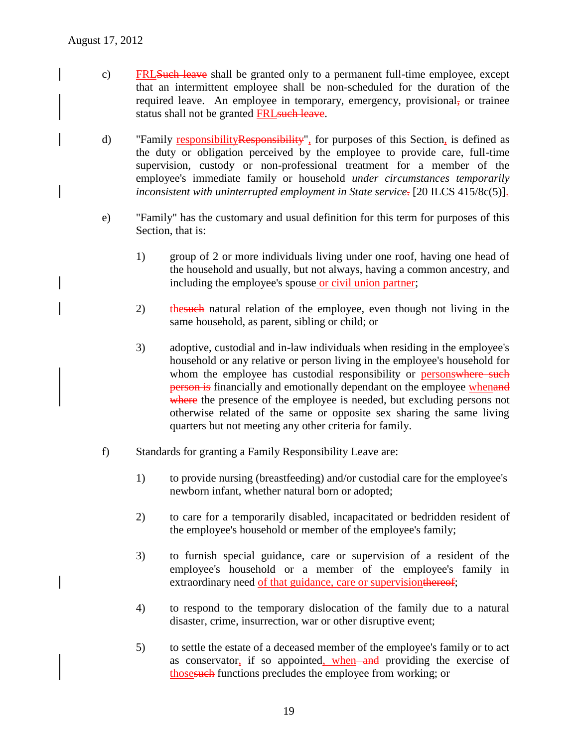- c) FRLSuch leave shall be granted only to a permanent full-time employee, except that an intermittent employee shall be non-scheduled for the duration of the required leave. An employee in temporary, emergency, provisional, or trainee status shall not be granted FRL such leave.
- d) "Family responsibility Responsibility", for purposes of this Section, is defined as the duty or obligation perceived by the employee to provide care, full-time supervision, custody or non-professional treatment for a member of the employee's immediate family or household *under circumstances temporarily inconsistent with uninterrupted employment in State service*. [20 ILCS 415/8c(5)].
- e) "Family" has the customary and usual definition for this term for purposes of this Section, that is:
	- 1) group of 2 or more individuals living under one roof, having one head of the household and usually, but not always, having a common ancestry, and including the employee's spouse or civil union partner;
	- 2) the such natural relation of the employee, even though not living in the same household, as parent, sibling or child; or
	- 3) adoptive, custodial and in-law individuals when residing in the employee's household or any relative or person living in the employee's household for whom the employee has custodial responsibility or personswhere such **person is** financially and emotionally dependant on the employee whenand where the presence of the employee is needed, but excluding persons not otherwise related of the same or opposite sex sharing the same living quarters but not meeting any other criteria for family.
- f) Standards for granting a Family Responsibility Leave are:
	- 1) to provide nursing (breastfeeding) and/or custodial care for the employee's newborn infant, whether natural born or adopted;
	- 2) to care for a temporarily disabled, incapacitated or bedridden resident of the employee's household or member of the employee's family;
	- 3) to furnish special guidance, care or supervision of a resident of the employee's household or a member of the employee's family in extraordinary need of that guidance, care or supervision thereof;
	- 4) to respond to the temporary dislocation of the family due to a natural disaster, crime, insurrection, war or other disruptive event;
	- 5) to settle the estate of a deceased member of the employee's family or to act as conservator, if so appointed, when and providing the exercise of thosesuch functions precludes the employee from working; or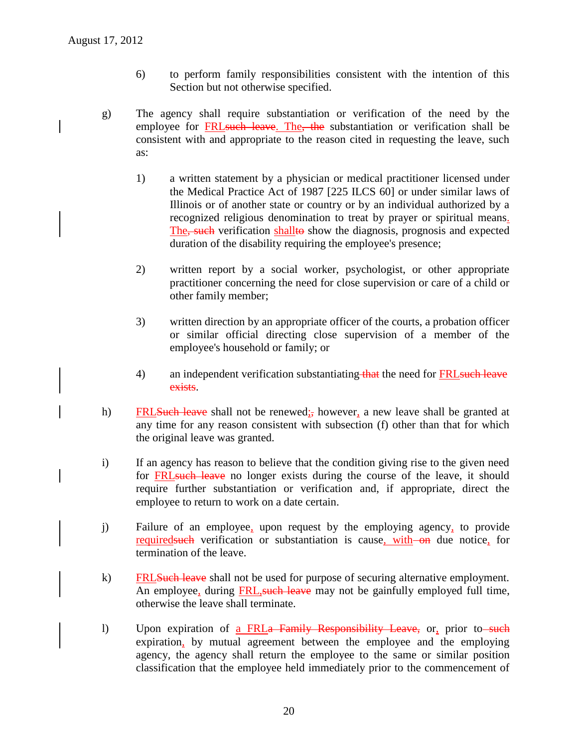- 6) to perform family responsibilities consistent with the intention of this Section but not otherwise specified.
- g) The agency shall require substantiation or verification of the need by the employee for FRLsuch leave. The, the substantiation or verification shall be consistent with and appropriate to the reason cited in requesting the leave, such as:
	- 1) a written statement by a physician or medical practitioner licensed under the Medical Practice Act of 1987 [225 ILCS 60] or under similar laws of Illinois or of another state or country or by an individual authorized by a recognized religious denomination to treat by prayer or spiritual means. The, such verification shallto show the diagnosis, prognosis and expected duration of the disability requiring the employee's presence;
	- 2) written report by a social worker, psychologist, or other appropriate practitioner concerning the need for close supervision or care of a child or other family member;
	- 3) written direction by an appropriate officer of the courts, a probation officer or similar official directing close supervision of a member of the employee's household or family; or
	- 4) an independent verification substantiating that the need for **FRL** such leave exists.
- h) FRLSuch leave shall not be renewed; however, a new leave shall be granted at any time for any reason consistent with subsection (f) other than that for which the original leave was granted.
- i) If an agency has reason to believe that the condition giving rise to the given need for **FRL** such leave no longer exists during the course of the leave, it should require further substantiation or verification and, if appropriate, direct the employee to return to work on a date certain.
- j) Failure of an employee, upon request by the employing agency, to provide required such verification or substantiation is cause, with on due notice, for termination of the leave.
- k) FRLSuch leave shall not be used for purpose of securing alternative employment. An employee, during FRL, such leave may not be gainfully employed full time, otherwise the leave shall terminate.
- l) Upon expiration of a FRLa Family Responsibility Leave, or, prior to such expiration, by mutual agreement between the employee and the employing agency, the agency shall return the employee to the same or similar position classification that the employee held immediately prior to the commencement of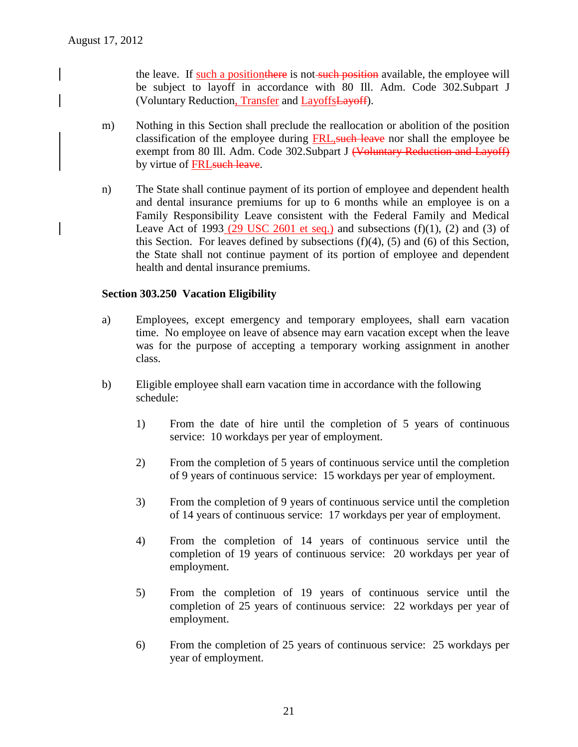the leave. If such a position there is not such position available, the employee will be subject to layoff in accordance with 80 Ill. Adm. Code 302.Subpart J (Voluntary Reduction, Transfer and LayoffsLayoff).

- m) Nothing in this Section shall preclude the reallocation or abolition of the position classification of the employee during FRL, such leave nor shall the employee be exempt from 80 Ill. Adm. Code 302. Subpart J (Voluntary Reduction and Layoff) by virtue of FRL such leave.
- n) The State shall continue payment of its portion of employee and dependent health and dental insurance premiums for up to 6 months while an employee is on a Family Responsibility Leave consistent with the Federal Family and Medical Leave Act of 1993 (29 USC 2601 et seq.) and subsections  $(f)(1)$ , (2) and (3) of this Section. For leaves defined by subsections  $(f)(4)$ ,  $(5)$  and  $(6)$  of this Section, the State shall not continue payment of its portion of employee and dependent health and dental insurance premiums.

# **Section 303.250 Vacation Eligibility**

- a) Employees, except emergency and temporary employees, shall earn vacation time. No employee on leave of absence may earn vacation except when the leave was for the purpose of accepting a temporary working assignment in another class.
- b) Eligible employee shall earn vacation time in accordance with the following schedule:
	- 1) From the date of hire until the completion of 5 years of continuous service: 10 workdays per year of employment.
	- 2) From the completion of 5 years of continuous service until the completion of 9 years of continuous service: 15 workdays per year of employment.
	- 3) From the completion of 9 years of continuous service until the completion of 14 years of continuous service: 17 workdays per year of employment.
	- 4) From the completion of 14 years of continuous service until the completion of 19 years of continuous service: 20 workdays per year of employment.
	- 5) From the completion of 19 years of continuous service until the completion of 25 years of continuous service: 22 workdays per year of employment.
	- 6) From the completion of 25 years of continuous service: 25 workdays per year of employment.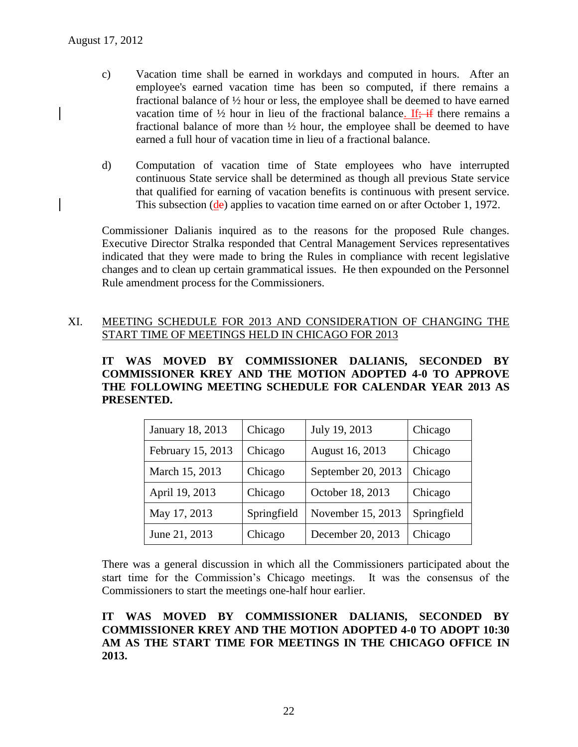- c) Vacation time shall be earned in workdays and computed in hours. After an employee's earned vacation time has been so computed, if there remains a fractional balance of ½ hour or less, the employee shall be deemed to have earned vacation time of  $\frac{1}{2}$  hour in lieu of the fractional balance. If: if there remains a fractional balance of more than ½ hour, the employee shall be deemed to have earned a full hour of vacation time in lieu of a fractional balance.
- d) Computation of vacation time of State employees who have interrupted continuous State service shall be determined as though all previous State service that qualified for earning of vacation benefits is continuous with present service. This subsection (de) applies to vacation time earned on or after October 1, 1972.

Commissioner Dalianis inquired as to the reasons for the proposed Rule changes. Executive Director Stralka responded that Central Management Services representatives indicated that they were made to bring the Rules in compliance with recent legislative changes and to clean up certain grammatical issues. He then expounded on the Personnel Rule amendment process for the Commissioners.

# XI. MEETING SCHEDULE FOR 2013 AND CONSIDERATION OF CHANGING THE START TIME OF MEETINGS HELD IN CHICAGO FOR 2013

**IT WAS MOVED BY COMMISSIONER DALIANIS, SECONDED BY COMMISSIONER KREY AND THE MOTION ADOPTED 4-0 TO APPROVE THE FOLLOWING MEETING SCHEDULE FOR CALENDAR YEAR 2013 AS PRESENTED.**

| January 18, 2013  | Chicago     | July 19, 2013      | Chicago     |
|-------------------|-------------|--------------------|-------------|
| February 15, 2013 | Chicago     | August 16, 2013    | Chicago     |
| March 15, 2013    | Chicago     | September 20, 2013 | Chicago     |
| April 19, 2013    | Chicago     | October 18, 2013   | Chicago     |
| May 17, 2013      | Springfield | November 15, 2013  | Springfield |
| June 21, 2013     | Chicago     | December 20, 2013  | Chicago     |

There was a general discussion in which all the Commissioners participated about the start time for the Commission's Chicago meetings. It was the consensus of the Commissioners to start the meetings one-half hour earlier.

# **IT WAS MOVED BY COMMISSIONER DALIANIS, SECONDED BY COMMISSIONER KREY AND THE MOTION ADOPTED 4-0 TO ADOPT 10:30 AM AS THE START TIME FOR MEETINGS IN THE CHICAGO OFFICE IN 2013.**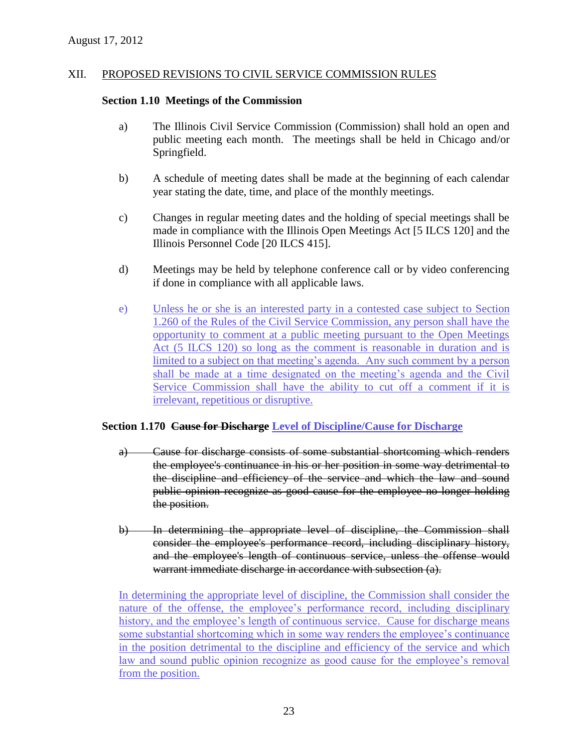#### XII. PROPOSED REVISIONS TO CIVIL SERVICE COMMISSION RULES

#### **Section 1.10 Meetings of the Commission**

- a) The Illinois Civil Service Commission (Commission) shall hold an open and public meeting each month. The meetings shall be held in Chicago and/or Springfield.
- b) A schedule of meeting dates shall be made at the beginning of each calendar year stating the date, time, and place of the monthly meetings.
- c) Changes in regular meeting dates and the holding of special meetings shall be made in compliance with the Illinois Open Meetings Act [5 ILCS 120] and the Illinois Personnel Code [20 ILCS 415].
- d) Meetings may be held by telephone conference call or by video conferencing if done in compliance with all applicable laws.
- e) Unless he or she is an interested party in a contested case subject to Section 1.260 of the Rules of the Civil Service Commission, any person shall have the opportunity to comment at a public meeting pursuant to the Open Meetings Act (5 ILCS 120) so long as the comment is reasonable in duration and is limited to a subject on that meeting's agenda. Any such comment by a person shall be made at a time designated on the meeting's agenda and the Civil Service Commission shall have the ability to cut off a comment if it is irrelevant, repetitious or disruptive.

### **Section 1.170 Cause for Discharge Level of Discipline/Cause for Discharge**

- a) Cause for discharge consists of some substantial shortcoming which renders the employee's continuance in his or her position in some way detrimental to the discipline and efficiency of the service and which the law and sound public opinion recognize as good cause for the employee no longer holding the position.
- b) In determining the appropriate level of discipline, the Commission shall consider the employee's performance record, including disciplinary history, and the employee's length of continuous service, unless the offense would warrant immediate discharge in accordance with subsection (a).

In determining the appropriate level of discipline, the Commission shall consider the nature of the offense, the employee's performance record, including disciplinary history, and the employee's length of continuous service. Cause for discharge means some substantial shortcoming which in some way renders the employee's continuance in the position detrimental to the discipline and efficiency of the service and which law and sound public opinion recognize as good cause for the employee's removal from the position.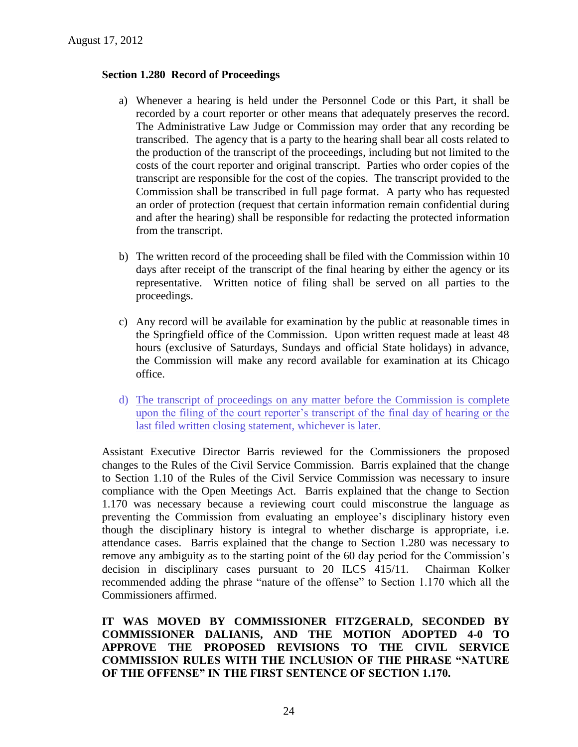### **Section 1.280 Record of Proceedings**

- a) Whenever a hearing is held under the Personnel Code or this Part, it shall be recorded by a court reporter or other means that adequately preserves the record. The Administrative Law Judge or Commission may order that any recording be transcribed. The agency that is a party to the hearing shall bear all costs related to the production of the transcript of the proceedings, including but not limited to the costs of the court reporter and original transcript. Parties who order copies of the transcript are responsible for the cost of the copies. The transcript provided to the Commission shall be transcribed in full page format. A party who has requested an order of protection (request that certain information remain confidential during and after the hearing) shall be responsible for redacting the protected information from the transcript.
- b) The written record of the proceeding shall be filed with the Commission within 10 days after receipt of the transcript of the final hearing by either the agency or its representative. Written notice of filing shall be served on all parties to the proceedings.
- c) Any record will be available for examination by the public at reasonable times in the Springfield office of the Commission. Upon written request made at least 48 hours (exclusive of Saturdays, Sundays and official State holidays) in advance, the Commission will make any record available for examination at its Chicago office.
- d) The transcript of proceedings on any matter before the Commission is complete upon the filing of the court reporter's transcript of the final day of hearing or the last filed written closing statement, whichever is later.

Assistant Executive Director Barris reviewed for the Commissioners the proposed changes to the Rules of the Civil Service Commission. Barris explained that the change to Section 1.10 of the Rules of the Civil Service Commission was necessary to insure compliance with the Open Meetings Act. Barris explained that the change to Section 1.170 was necessary because a reviewing court could misconstrue the language as preventing the Commission from evaluating an employee's disciplinary history even though the disciplinary history is integral to whether discharge is appropriate, i.e. attendance cases. Barris explained that the change to Section 1.280 was necessary to remove any ambiguity as to the starting point of the 60 day period for the Commission's decision in disciplinary cases pursuant to 20 ILCS 415/11. Chairman Kolker recommended adding the phrase "nature of the offense" to Section 1.170 which all the Commissioners affirmed.

**IT WAS MOVED BY COMMISSIONER FITZGERALD, SECONDED BY COMMISSIONER DALIANIS, AND THE MOTION ADOPTED 4-0 TO APPROVE THE PROPOSED REVISIONS TO THE CIVIL SERVICE COMMISSION RULES WITH THE INCLUSION OF THE PHRASE "NATURE OF THE OFFENSE" IN THE FIRST SENTENCE OF SECTION 1.170.**